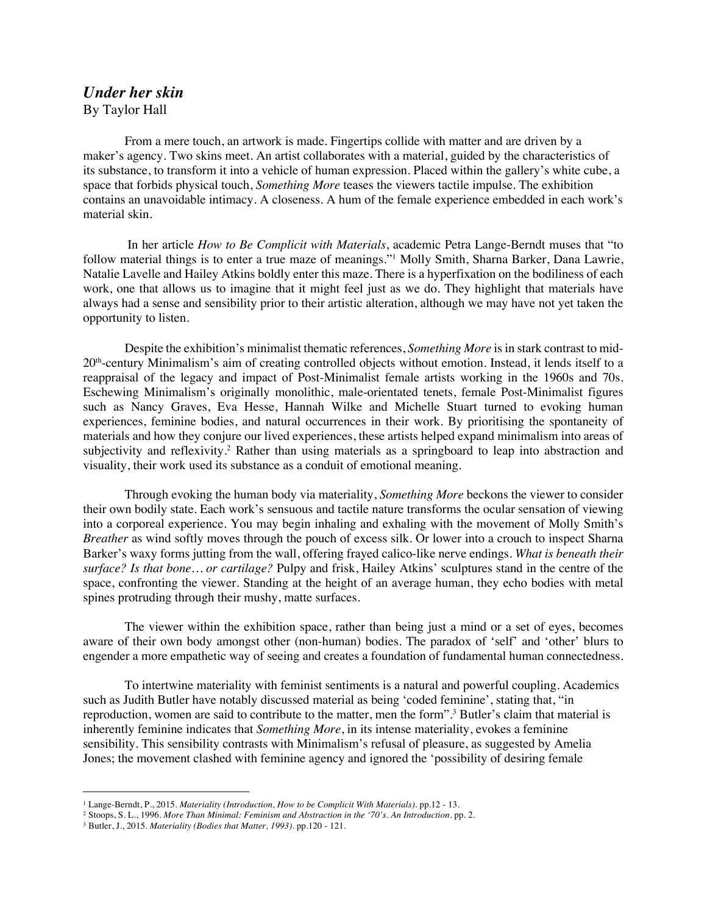## *Under her skin*  By Taylor Hall

From a mere touch, an artwork is made. Fingertips collide with matter and are driven by a maker's agency. Two skins meet. An artist collaborates with a material, guided by the characteristics of its substance, to transform it into a vehicle of human expression. Placed within the gallery's white cube, a space that forbids physical touch, *Something More* teases the viewers tactile impulse. The exhibition contains an unavoidable intimacy. A closeness. A hum of the female experience embedded in each work's material skin.

In her article *How to Be Complicit with Materials*, academic Petra Lange-Berndt muses that "to follow material things is to enter a true maze of meanings."1 Molly Smith, Sharna Barker, Dana Lawrie, Natalie Lavelle and Hailey Atkins boldly enter this maze. There is a hyperfixation on the bodiliness of each work, one that allows us to imagine that it might feel just as we do. They highlight that materials have always had a sense and sensibility prior to their artistic alteration, although we may have not yet taken the opportunity to listen.

Despite the exhibition's minimalist thematic references, *Something More* is in stark contrast to mid-20th-century Minimalism's aim of creating controlled objects without emotion. Instead, it lends itself to a reappraisal of the legacy and impact of Post-Minimalist female artists working in the 1960s and 70s. Eschewing Minimalism's originally monolithic, male-orientated tenets, female Post-Minimalist figures such as Nancy Graves, Eva Hesse, Hannah Wilke and Michelle Stuart turned to evoking human experiences, feminine bodies, and natural occurrences in their work. By prioritising the spontaneity of materials and how they conjure our lived experiences, these artists helped expand minimalism into areas of subjectivity and reflexivity.<sup>2</sup> Rather than using materials as a springboard to leap into abstraction and visuality, their work used its substance as a conduit of emotional meaning.

Through evoking the human body via materiality, *Something More* beckons the viewer to consider their own bodily state. Each work's sensuous and tactile nature transforms the ocular sensation of viewing into a corporeal experience. You may begin inhaling and exhaling with the movement of Molly Smith's *Breather* as wind softly moves through the pouch of excess silk. Or lower into a crouch to inspect Sharna Barker's waxy forms jutting from the wall, offering frayed calico-like nerve endings. *What is beneath their surface? Is that bone… or cartilage?* Pulpy and frisk, Hailey Atkins' sculptures stand in the centre of the space, confronting the viewer. Standing at the height of an average human, they echo bodies with metal spines protruding through their mushy, matte surfaces.

The viewer within the exhibition space, rather than being just a mind or a set of eyes, becomes aware of their own body amongst other (non-human) bodies. The paradox of 'self' and 'other' blurs to engender a more empathetic way of seeing and creates a foundation of fundamental human connectedness.

To intertwine materiality with feminist sentiments is a natural and powerful coupling. Academics such as Judith Butler have notably discussed material as being 'coded feminine', stating that, "in reproduction, women are said to contribute to the matter, men the form".3 Butler's claim that material is inherently feminine indicates that *Something More*, in its intense materiality, evokes a feminine sensibility. This sensibility contrasts with Minimalism's refusal of pleasure, as suggested by Amelia Jones; the movement clashed with feminine agency and ignored the 'possibility of desiring female

<sup>1</sup> Lange-Berndt, P., 2015. *Materiality (Introduction, How to be Complicit With Materials)*. pp.12 - 13.

<sup>2</sup> Stoops, S. L., 1996. *More Than Minimal: Feminism and Abstraction in the '70's. An Introduction.* pp. 2.

<sup>3</sup> Butler, J., 2015. *Materiality (Bodies that Matter, 1993)*. pp.120 - 121.